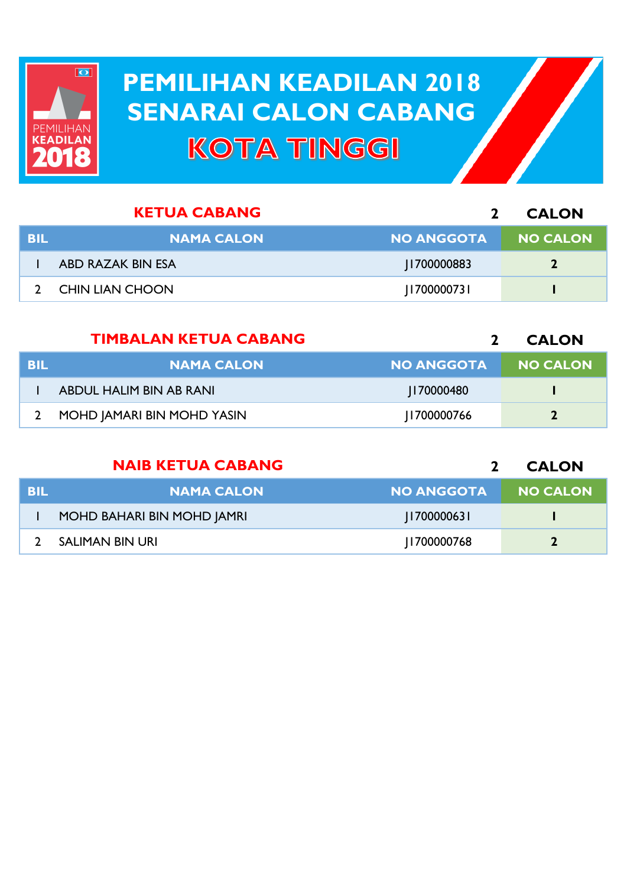

## **PEMILIHAN KEADILAN 2018 PEMILIHAN KEADILAN 2018 SENARAI CALON CABANG SENARAI CALON CABANGKOTA TINGGI**

|     | <b>KETUA CABANG</b>    |                   | <b>CALON</b>    |
|-----|------------------------|-------------------|-----------------|
| BIL | <b>NAMA CALON</b>      | <b>NO ANGGOTA</b> | <b>NO CALON</b> |
|     | ABD RAZAK BIN ESA      | 1700000883        |                 |
|     | <b>CHIN LIAN CHOON</b> | 700000731         |                 |

|      | <b>TIMBALAN KETUA CABANG</b> |                   | <b>CALON</b>    |
|------|------------------------------|-------------------|-----------------|
| -BIL | <b>NAMA CALON</b>            | <b>NO ANGGOTA</b> | <b>NO CALON</b> |
|      | ABDUL HALIM BIN AB RANI      | 170000480         |                 |
|      | MOHD JAMARI BIN MOHD YASIN   | 1700000766        |                 |

|            | <b>NAIB KETUA CABANG</b>   |                   | <b>CALON</b>    |
|------------|----------------------------|-------------------|-----------------|
| <b>BIL</b> | <b>NAMA CALON</b>          | <b>NO ANGGOTA</b> | <b>NO CALON</b> |
|            | MOHD BAHARI BIN MOHD JAMRI | 170000063         |                 |
|            | <b>SALIMAN BIN URI</b>     | 1700000768        |                 |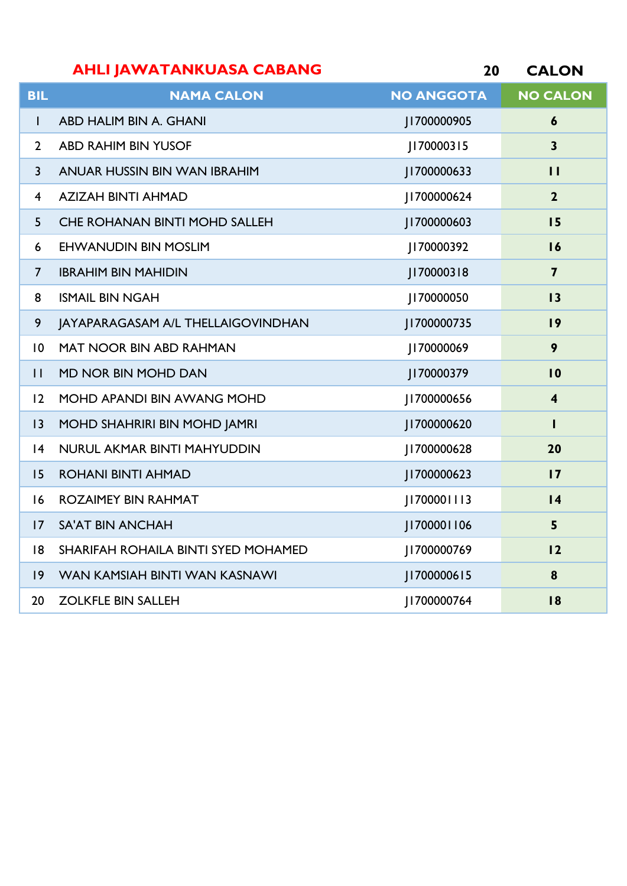|                 | <b>AHLI JAWATANKUASA CABANG</b>      | 20                | <b>CALON</b>            |
|-----------------|--------------------------------------|-------------------|-------------------------|
| BIL             | <b>NAMA CALON</b>                    | <b>NO ANGGOTA</b> | <b>NO CALON</b>         |
|                 | ABD HALIM BIN A. GHANI               | J1700000905       | 6                       |
| $\mathcal{P}$   | <b>ABD RAHIM BIN YUSOF</b>           | 70000315          | 3                       |
| 3               | ANUAR HUSSIN BIN WAN IBRAHIM         | 1700000633        | $\mathbf{1}$            |
| $\overline{4}$  | <b>AZIZAH BINTI AHMAD</b>            | 700000624         | $\overline{2}$          |
| 5.              | <b>CHE ROHANAN BINTI MOHD SALLEH</b> | 1700000603        | 15                      |
| 6               | <b>EHWANUDIN BIN MOSLIM</b>          | 170000392         | 16                      |
| 7               | <b>IBRAHIM BIN MAHIDIN</b>           | 70000318          | $\overline{\mathbf{z}}$ |
| 8               | <b>ISMAIL BIN NGAH</b>               | 170000050         | 13                      |
| 9               | JAYAPARAGASAM A/L THELLAIGOVINDHAN   | 1700000735        | 9                       |
| $\overline{10}$ | <b>MAT NOOR BIN ABD RAHMAN</b>       | 170000069         | 9                       |

MD NOR BIN MOHD DAN J170000379 **10**

MOHD APANDI BIN AWANG MOHD J1700000656 **4**

MOHD SHAHRIRI BIN MOHD JAMRI J1700000620 **1**

NURUL AKMAR BINTI MAHYUDDIN J1700000628 **20**

ROHANI BINTI AHMAD J1700000623 **17**

ROZAIMEY BIN RAHMAT J1700001113 **14**

SA'AT BIN ANCHAH J1700001106 **5**

SHARIFAH ROHAILA BINTI SYED MOHAMED J1700000769 **12**

WAN KAMSIAH BINTI WAN KASNAWI J1700000615 **8**

ZOLKFLE BIN SALLEH J1700000764 **18**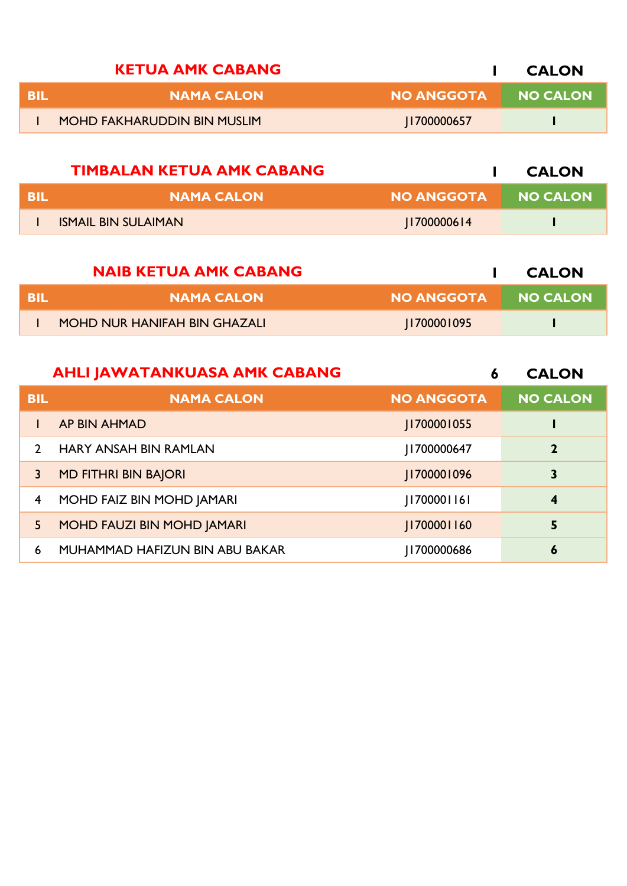|      | <b>KETUA AMK CABANG</b>            |                   | <b>CALON</b>    |
|------|------------------------------------|-------------------|-----------------|
| -BII | <b>NAMA CALON</b>                  | <b>NO ANGGOTA</b> | <b>NO CALON</b> |
|      | <b>MOHD FAKHARUDDIN BIN MUSLIM</b> | 1700000657        |                 |

|      | <b>TIMBALAN KETUA AMK CABANG</b> |                   | <b>CALON</b> |
|------|----------------------------------|-------------------|--------------|
| -BIL | <b>NAMA CALON</b>                | <b>NO ANGGOTA</b> | NO CALON     |
|      | <b>ISMAIL BIN SULAIMAN</b>       | 1700000614        |              |

|     | <b>NAIB KETUA AMK CABANG</b> |            | <b>CALON</b> |
|-----|------------------------------|------------|--------------|
| BIL | <b>NAMA CALON</b>            | NO ANGGOTA | NO CALON     |
|     | MOHD NUR HANIFAH BIN GHAZALI | 700001095  |              |
|     |                              |            |              |

|                | <b>AHLI JAWATANKUASA AMK CABANG</b> | 6                  | <b>CALON</b>     |
|----------------|-------------------------------------|--------------------|------------------|
| <b>BIL</b>     | <b>NAMA CALON</b>                   | <b>NO ANGGOTA</b>  | <b>NO CALON</b>  |
|                | AP BIN AHMAD                        | <b>II700001055</b> |                  |
| $\mathcal{P}$  | <b>HARY ANSAH BIN RAMLAN</b>        | 1700000647         | $\mathbf{2}$     |
| 3              | <b>MD FITHRI BIN BAJORI</b>         | J1700001096        | 3                |
| $\overline{4}$ | MOHD FAIZ BIN MOHD JAMARI           | [1700001161]       | $\boldsymbol{4}$ |
| 5.             | MOHD FAUZI BIN MOHD JAMARI          | J1700001160        | 5                |
| 6              | MUHAMMAD HAFIZUN BIN ABU BAKAR      | 1700000686         | 6                |